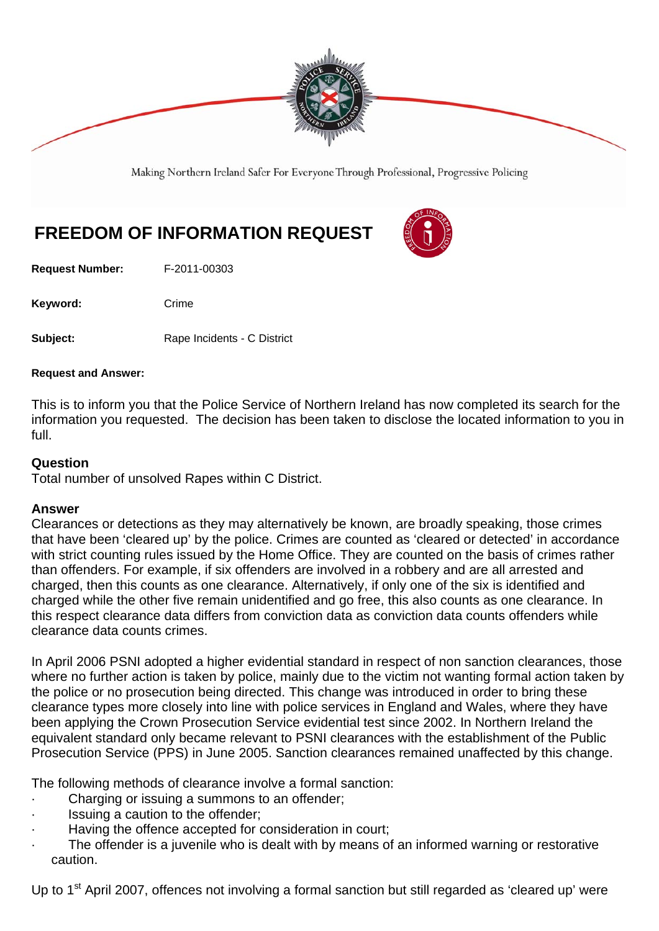

Making Northern Ireland Safer For Everyone Through Professional, Progressive Policing

## **FREEDOM OF INFORMATION REQUEST**

**Request Number:** F-2011-00303

Keyword: Crime

**Subject:** Rape Incidents - C District

## **Request and Answer:**

This is to inform you that the Police Service of Northern Ireland has now completed its search for the information you requested. The decision has been taken to disclose the located information to you in full.

## **Question**

Total number of unsolved Rapes within C District.

## **Answer**

Clearances or detections as they may alternatively be known, are broadly speaking, those crimes that have been 'cleared up' by the police. Crimes are counted as 'cleared or detected' in accordance with strict counting rules issued by the Home Office. They are counted on the basis of crimes rather than offenders. For example, if six offenders are involved in a robbery and are all arrested and charged, then this counts as one clearance. Alternatively, if only one of the six is identified and charged while the other five remain unidentified and go free, this also counts as one clearance. In this respect clearance data differs from conviction data as conviction data counts offenders while clearance data counts crimes.

In April 2006 PSNI adopted a higher evidential standard in respect of non sanction clearances, those where no further action is taken by police, mainly due to the victim not wanting formal action taken by the police or no prosecution being directed. This change was introduced in order to bring these clearance types more closely into line with police services in England and Wales, where they have been applying the Crown Prosecution Service evidential test since 2002. In Northern Ireland the equivalent standard only became relevant to PSNI clearances with the establishment of the Public Prosecution Service (PPS) in June 2005. Sanction clearances remained unaffected by this change.

The following methods of clearance involve a formal sanction:

- Charging or issuing a summons to an offender;
- Issuing a caution to the offender;
- Having the offence accepted for consideration in court;
- The offender is a juvenile who is dealt with by means of an informed warning or restorative caution.

Up to 1<sup>st</sup> April 2007, offences not involving a formal sanction but still regarded as 'cleared up' were